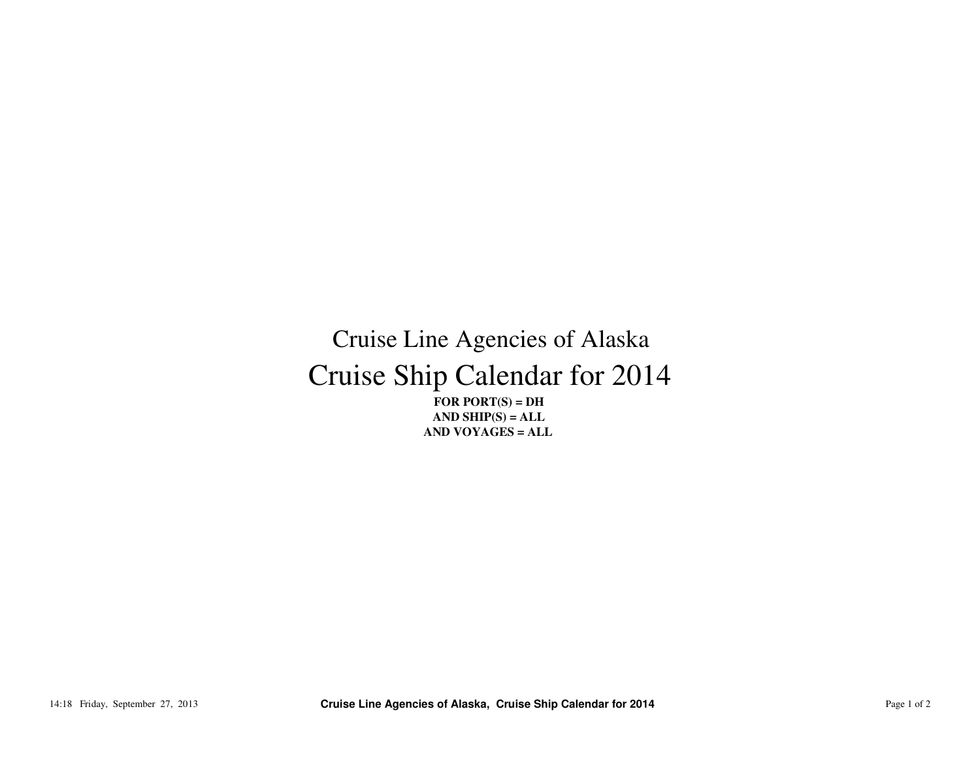## Cruise Ship Calendar for 2014Cruise Line Agencies of Alaska

**FOR PORT(S) = DH AND SHIP(S) = ALLAND VOYAGES = ALL**